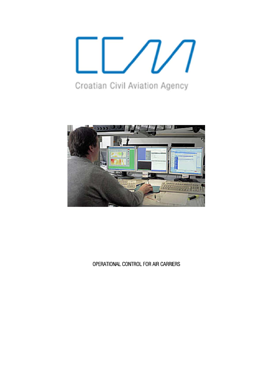

Croatian Civil Aviation Agency



OPERATIONAL C CONTROL FOR AIR CARRIERS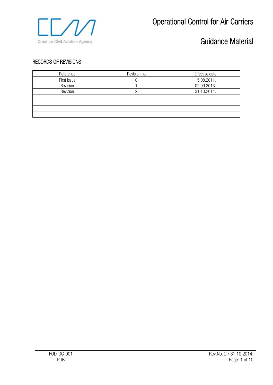

#### RECORDS OF REVISIONS

| Reference   | Revision no | Effective date |
|-------------|-------------|----------------|
| First issue |             | 15.08.2011.    |
| Revision    |             | 02.09.2013.    |
| Revision    |             | 31.10.2014.    |
|             |             |                |
|             |             |                |
|             |             |                |
|             |             |                |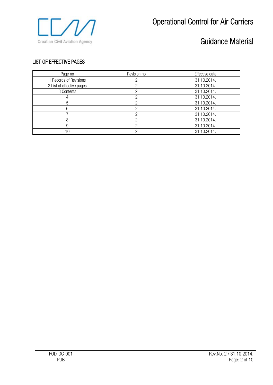

#### LIST OF EFFECTIVE PAGES

| Page no                   | Revision no | Effective date |
|---------------------------|-------------|----------------|
| 1 Records of Revisions    |             | 31.10.2014.    |
| 2 List of effective pages |             | 31.10.2014.    |
| 3 Contents                |             | 31.10.2014.    |
|                           |             | 31.10.2014.    |
| 5                         |             | 31.10.2014.    |
|                           |             | 31.10.2014.    |
|                           |             | 31.10.2014.    |
|                           |             | 31.10.2014.    |
|                           |             | 31.10.2014.    |
| 10                        |             | 31.10.2014.    |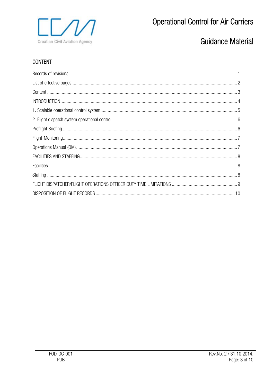

### **CONTENT**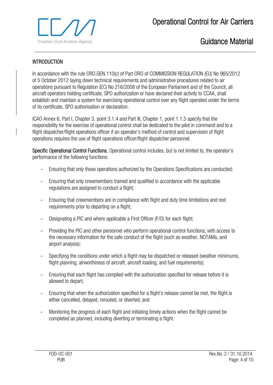

#### **INTRODUCTION**

In accordance with the rule ORO.GEN.110(c) of Part ORO of COMMISSION REGULATION (EU) No 965/2012 of 5 October 2012 laying down technical requirements and administrative procedures related to air operations pursuant to Regulation (EC) No 216/2008 of the European Parliament and of the Council, all aircraft operators holding certificate, SPO authorization or have declared their activity to CCAA, shall establish and maintain a system for exercising operational control over any flight operated under the terms of its certificate, SPO authorisation or declaration.

ICAO Annex 6, Part I, Chapter 3, point 3.1.4 and Part III, Chapter 1, point 1.1.5 specify that the responsibility for the exercise of operational control shall be dedicated to the pilot in command and to a flight dispatcher/flight operations officer if an operator's method of control and supervision of flight operations requires the use of flight operations officer/flight dispatcher personnel.

Specific Operational Control Functions. Operational control includes, but is not limited to, the operator's performance of the following functions:

- Ensuring that only those operations authorized by the Operations Specifications are conducted;
- Ensuring that only crewmembers trained and qualified in accordance with the applicable regulations are assigned to conduct a flight;
- Ensuring that crewmembers are in compliance with flight and duty time limitations and rest requirements prior to departing on a flight;
- Designating a PIC and where applicable a First Officer (F/O) for each flight;
- Providing the PIC and other personnel who perform operational control functions; with access to the necessary information for the safe conduct of the flight (such as weather, NOTAMs, and airport analysis);
- Specifying the conditions under which a flight may be dispatched or released (weather minimums, flight planning, airworthiness of aircraft, aircraft loading, and fuel requirements);
- Ensuring that each flight has complied with the authorization specified for release before it is allowed to depart;
- Ensuring that when the authorization specified for a flight's release cannot be met, the flight is either cancelled, delayed, rerouted, or diverted; and
- Monitoring the progress of each flight and initiating timely actions when the flight cannot be completed as planned, including diverting or terminating a flight.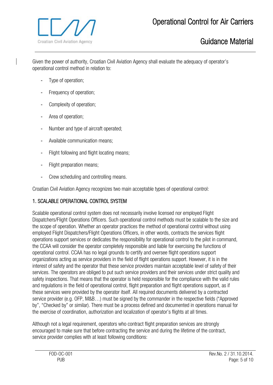



Given the power of authority, Croatian Civil Aviation Agency shall evaluate the adequacy of operator's operational control method in relation to:

- Type of operation;
- Frequency of operation;
- Complexity of operation;
- Area of operation;
- Number and type of aircraft operated;
- Available communication means;
- Flight following and flight locating means;
- Flight preparation means:
- Crew scheduling and controlling means.

Croatian Civil Aviation Agency recognizes two main acceptable types of operational control:

### 1. SCALABLE OPERATIONAL CONTROL SYSTEM

Scalable operational control system does not necessarily involve licensed nor employed Flight Dispatchers/Flight Operations Officers. Such operational control methods must be scalable to the size and the scope of operation. Whether an operator practices the method of operational control without using employed Flight Dispatchers/Flight Operations Officers, in other words, contracts the services flight operations support services or dedicates the responsibility for operational control to the pilot in command, the CCAA will consider the operator completely responsible and liable for exercising the functions of operational control. CCAA has no legal grounds to certify and oversee flight operations support organizations acting as service providers in the field of flight operations support. However, it is in the interest of safety and the operator that these service providers maintain acceptable level of safety of their services. The operators are obliged to put such service providers and their services under strict quality and safety inspections. That means that the operator is held responsible for the compliance with the valid rules and regulations in the field of operational control, flight preparation and flight operations support, as if these services were provided by the operator itself. All required documents delivered by a contracted service provider (e.g. OFP, M&B…) must be signed by the commander in the respective fields ("Approved by", "Checked by" or similar). There must be a process defined and documented in operations manual for the exercise of coordination, authorization and localization of operator's flights at all times.

Although not a legal requirement, operators who contract flight preparation services are strongly encouraged to make sure that before contracting the service and during the lifetime of the contract, service provider complies with at least following conditions: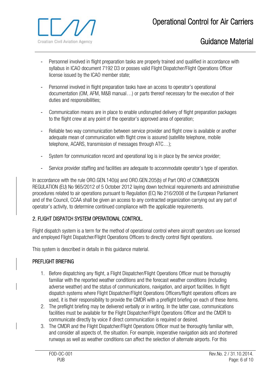

- Personnel involved in flight preparation tasks are properly trained and qualified in accordance with syllabus in ICAO document 7192 D3 or posses valid Flight Dispatcher/Flight Operations Officer license issued by the ICAO member state;
- Personnel involved in flight preparation tasks have an access to operator's operational documentation (OM, AFM, M&B manual…) or parts thereof necessary for the execution of their duties and responsibilities;
- Communication means are in place to enable undisrupted delivery of flight preparation packages to the flight crew at any point of the operator's approved area of operation;
- Reliable two way communication between service provider and flight crew is available or another adequate mean of communication with flight crew is assured (satellite telephone, mobile telephone, ACARS, transmission of messages through ATC…);
- System for communication record and operational log is in place by the service provider;
- Service provider staffing and facilities are adequate to accommodate operator's type of operation.

In accordance with the rule ORO.GEN.140(a) and ORO.GEN.205(b) of Part ORO of COMMISSION REGULATION (EU) No 965/2012 of 5 October 2012 laying down technical requirements and administrative procedures related to air operations pursuant to Regulation (EC) No 216/2008 of the European Parliament and of the Council, CCAA shall be given an access to any contracted organization carrying out any part of operator's activity, to determine continued compliance with the applicable requirements.

### 2. FLIGHT DISPATCH SYSTEM OPERATIONAL CONTROL.

Flight dispatch system is a term for the method of operational control where aircraft operators use licensed and employed Flight Dispatcher/Flight Operations Officers to directly control flight operations.

This system is described in details in this guidance material.

### PREFLIGHT BRIEFING

- 1. Before dispatching any flight, a Flight Dispatcher/Flight Operations Officer must be thoroughly familiar with the reported weather conditions and the forecast weather conditions (including adverse weather) and the status of communications, navigation, and airport facilities. In flight dispatch systems where Flight Dispatcher/Flight Operations Officers/flight operations officers are used, it is their responsibility to provide the CMDR with a preflight briefing on each of these items.
- 2. The preflight briefing may be delivered verbally or in writing. In the latter case, communications facilities must be available for the Flight Dispatcher/Flight Operations Officer and the CMDR to communicate directly by voice if direct communication is required or desired.
- 3. The CMDR and the Flight Dispatcher/Flight Operations Officer must be thoroughly familiar with, and consider all aspects of, the situation. For example, inoperative navigation aids and shortened runways as well as weather conditions can affect the selection of alternate airports. For this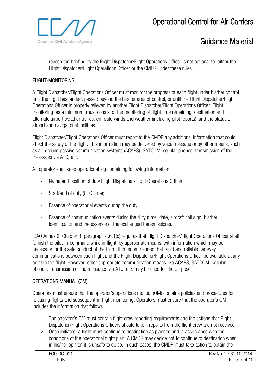

reason the briefing by the Flight Dispatcher/Flight Operations Officer is not optional for either the Flight Dispatcher/Flight Operations Officer or the CMDR under these rules.

### FLIGHT-MONITORING

A Flight Dispatcher/Flight Operations Officer must monitor the progress of each flight under his/her control until the flight has landed, passed beyond the his/her area of control, or until the Flight Dispatcher/Flight Operations Officer is properly relieved by another Flight Dispatcher/Flight Operations Officer. Flight monitoring, as a minimum, must consist of the monitoring of flight time remaining, destination and alternate airport weather trends, en route winds and weather (including pilot reports), and the status of airport and navigational facilities.

Flight Dispatcher/Flight Operations Officer must report to the CMDR any additional information that could affect the safety of the flight. This information may be delivered by voice message or by other means, such as air-ground passive communication systems (ACARS), SATCOM, cellular phones, transmission of the messages via ATC, etc.

An operator shall keep operational log containing following information:

- Name and position of duty Flight Dispatcher/Flight Operations Officer;
- Start/end of duty (UTC time);
- Essence of operational events during the duty;
- Essence of communication events during the duty (time, date, aircraft call sign, his/her identification and the essence of the exchanged transmissions).

ICAO Annex 6, Chapter 4, paragraph 4.6.1(c) requires that Flight Dispatcher/Flight Operations Officer shall furnish the pilot-in-command while in flight, by appropriate means, with information which may be necessary for the safe conduct of the flight. It is recommended that rapid and reliable two-way communications between each flight and the Flight Dispatcher/Flight Operations Officer be available at any point in the flight. However, other appropriate communication means like ACARS, SATCOM, cellular phones, transmission of the messages via ATC, etc. may be used for the purpose.

### OPERATIONS MANUAL (OM)

Operators must ensure that the operator's operations manual (OM) contains policies and procedures for releasing flights and subsequent in-flight monitoring. Operators must ensure that the operator's OM includes the information that follows.

- 1. The operator's OM must contain flight crew reporting requirements and the actions that Flight Dispatcher/Flight Operations Officers should take if reports from the flight crew are not received.
- 2. Once initiated, a flight must continue to destination as planned and in accordance with the conditions of the operational flight plan. A CMDR may decide not to continue to destination when in his/her opinion it is unsafe to do so. In such cases, the CMDR must take action to obtain the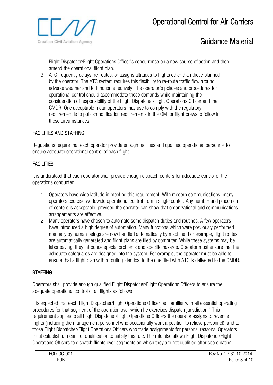

Flight Dispatcher/Flight Operations Officer's concurrence on a new course of action and then amend the operational flight plan.

3. ATC frequently delays, re-routes, or assigns altitudes to flights other than those planned by the operator. The ATC system requires this flexibility to re-route traffic flow around adverse weather and to function effectively. The operator's policies and procedures for operational control should accommodate these demands while maintaining the consideration of responsibility of the Flight Dispatcher/Flight Operations Officer and the CMDR. One acceptable mean operators may use to comply with the regulatory requirement is to publish notification requirements in the OM for flight crews to follow in these circumstances

#### FACILITIES AND STAFFING

Regulations require that each operator provide enough facilities and qualified operational personnel to ensure adequate operational control of each flight.

#### **FACILITIES**

It is understood that each operator shall provide enough dispatch centers for adequate control of the operations conducted.

- 1. Operators have wide latitude in meeting this requirement. With modern communications, many operators exercise worldwide operational control from a single center. Any number and placement of centers is acceptable, provided the operator can show that organizational and communications arrangements are effective.
- 2. Many operators have chosen to automate some dispatch duties and routines. A few operators have introduced a high degree of automation. Many functions which were previously performed manually by human beings are now handled automatically by machine. For example, flight routes are automatically generated and flight plans are filed by computer. While these systems may be labor saving, they introduce special problems and specific hazards. Operator must ensure that the adequate safeguards are designed into the system. For example, the operator must be able to ensure that a flight plan with a routing identical to the one filed with ATC is delivered to the CMDR.

### **STAFFING**

Operators shall provide enough qualified Flight Dispatcher/Flight Operations Officers to ensure the adequate operational control of all flights as follows.

It is expected that each Flight Dispatcher/Flight Operations Officer be "familiar with all essential operating procedures for that segment of the operation over which he exercises dispatch jurisdiction." This requirement applies to all Flight Dispatcher/Flight Operations Officers the operator assigns to revenue flights (including the management personnel who occasionally work a position to relieve personnel), and to those Flight Dispatcher/Flight Operations Officers who trade assignments for personal reasons. Operators must establish a means of qualification to satisfy this rule. The rule also allows Flight Dispatcher/Flight Operations Officers to dispatch flights over segments on which they are not qualified after coordinating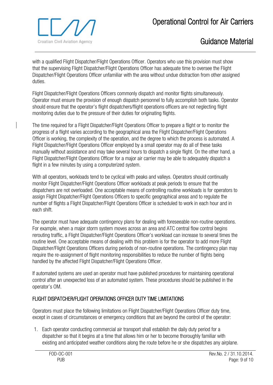

with a qualified Flight Dispatcher/Flight Operations Officer. Operators who use this provision must show that the supervising Flight Dispatcher/Flight Operations Officer has adequate time to oversee the Flight Dispatcher/Flight Operations Officer unfamiliar with the area without undue distraction from other assigned duties.

Flight Dispatcher/Flight Operations Officers commonly dispatch and monitor flights simultaneously. Operator must ensure the provision of enough dispatch personnel to fully accomplish both tasks. Operator should ensure that the operator's flight dispatchers/flight operations officers are not neglecting flight monitoring duties due to the pressure of their duties for originating flights.

The time required for a Flight Dispatcher/Flight Operations Officer to prepare a flight or to monitor the progress of a flight varies according to the geographical area the Flight Dispatcher/Flight Operations Officer is working, the complexity of the operation, and the degree to which the process is automated. A Flight Dispatcher/Flight Operations Officer employed by a small operator may do all of these tasks manually without assistance and may take several hours to dispatch a single flight. On the other hand, a Flight Dispatcher/Flight Operations Officer for a major air carrier may be able to adequately dispatch a flight in a few minutes by using a computerized system.

With all operators, workloads tend to be cyclical with peaks and valleys. Operators should continually monitor Flight Dispatcher/Flight Operations Officer workloads at peak periods to ensure that the dispatchers are not overloaded. One acceptable means of controlling routine workloads is for operators to assign Flight Dispatcher/Flight Operations Officers to specific geographical areas and to regulate the number of flights a Flight Dispatcher/Flight Operations Officer is scheduled to work in each hour and in each shift.

The operator must have adequate contingency plans for dealing with foreseeable non-routine operations. For example, when a major storm system moves across an area and ATC central flow control begins rerouting traffic, a Flight Dispatcher/Flight Operations Officer's workload can increase to several times the routine level. One acceptable means of dealing with this problem is for the operator to add more Flight Dispatcher/Flight Operations Officers during periods of non-routine operations. The contingency plan may require the re-assignment of flight monitoring responsibilities to reduce the number of flights being handled by the affected Flight Dispatcher/Flight Operations Officer.

If automated systems are used an operator must have published procedures for maintaining operational control after an unexpected loss of an automated system. These procedures should be published in the operator's OM.

### FLIGHT DISPATCHER/FLIGHT OPERATIONS OFFICER DUTY TIME LIMITATIONS

Operators must place the following limitations on Flight Dispatcher/Flight Operations Officer duty time, except in cases of circumstances or emergency conditions that are beyond the control of the operator:

1. Each operator conducting commercial air transport shall establish the daily duty period for a dispatcher so that it begins at a time that allows him or her to become thoroughly familiar with existing and anticipated weather conditions along the route before he or she dispatches any airplane.